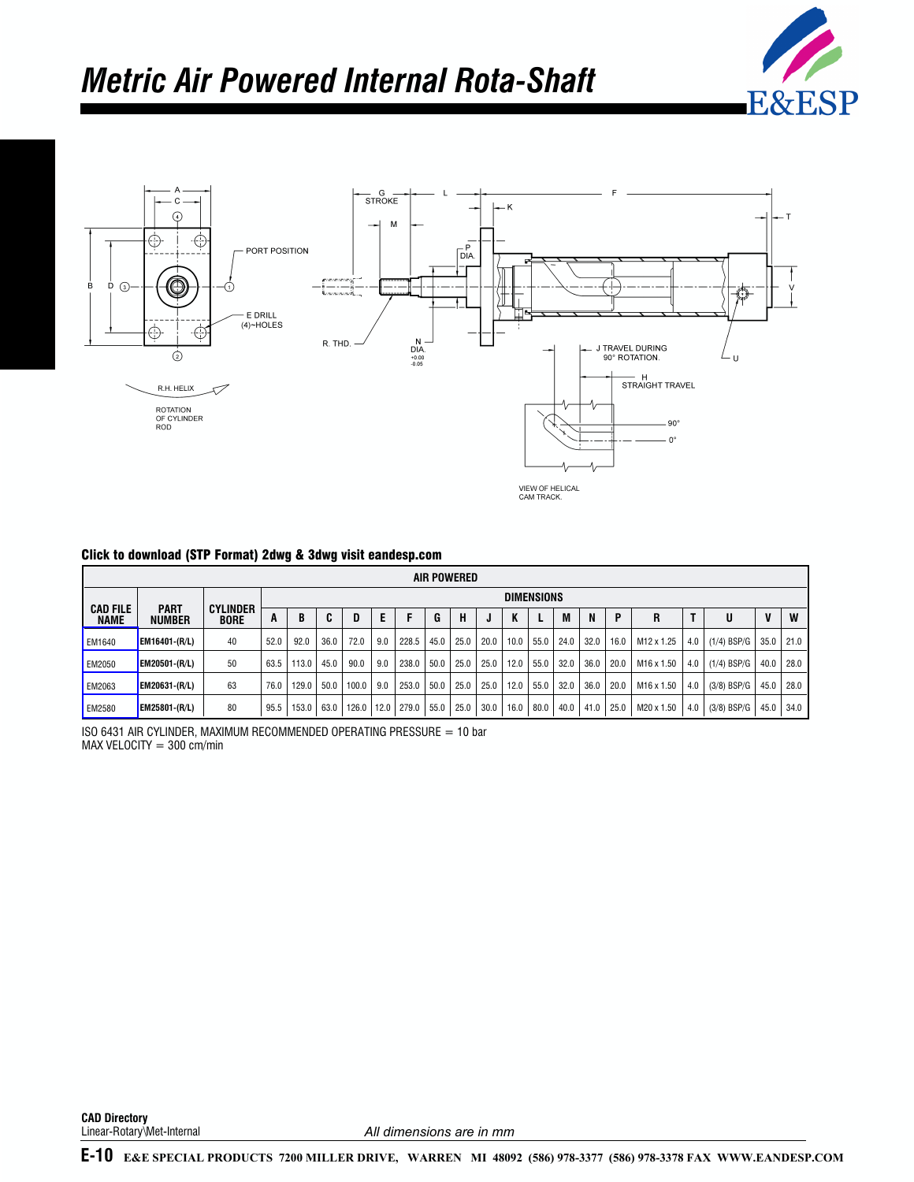



### Click to download (STP Format) 2dwg & 3dwg visit eandesp.com

|                                |                              |                                |                   |       |      |       |      |       |      | <b>AIR POWERED</b> |      |      |      |      |      |      |                        |     |               |      |      |
|--------------------------------|------------------------------|--------------------------------|-------------------|-------|------|-------|------|-------|------|--------------------|------|------|------|------|------|------|------------------------|-----|---------------|------|------|
|                                |                              |                                | <b>DIMENSIONS</b> |       |      |       |      |       |      |                    |      |      |      |      |      |      |                        |     |               |      |      |
| <b>CAD FILE</b><br><b>NAME</b> | <b>PART</b><br><b>NUMBER</b> | <b>CYLINDER</b><br><b>BORE</b> | A                 | B     |      | D     |      |       | G    | н                  |      | K    |      | M    | N    | D    | R                      |     | U             | V    | W    |
| <b>EM1640</b>                  | <b>EM16401-(R/L)</b>         | 40                             | 52.0              | 92.0  | 36.0 | 72.0  | 9.0  | 228.5 | 45.0 | 25.0               | 20.0 | 10.0 | 55.0 | 24.0 | 32.0 | 16.0 | M12 x 1.25             | 4.0 | $(1/4)$ BSP/G | 35.0 | 21.0 |
| EM2050                         | <b>EM20501-(R/L)</b>         | 50                             | 63.5              | 113.0 | 45.0 | 90.0  | 9.0  | 238.0 | 50.0 | 25.0               | 25.0 | 12.0 | 55.0 | 32.0 | 36.0 | 20.0 | M16 x 1.50             | 4.0 | $(1/4)$ BSP/G | 40.0 | 28.0 |
| EM2063                         | <b>EM20631-(R/L)</b>         | 63                             | 76.0              | 129.0 | 50.0 | 100.0 | 9.0  | 253.0 | 50.0 | 25.0               | 25.0 | 12.0 | 55.0 | 32.0 | 36.0 | 20.0 | M <sub>16</sub> x 1.50 | 4.0 | $(3/8)$ BSP/G | 45.0 | 28.0 |
| EM2580                         | <b>EM25801-(R/L)</b>         | 80                             | 95.5              | 153.0 | 63.0 | 126.0 | 12.0 | 279.0 | 55.0 | 25.0               | 30.0 | 16.0 | 80.0 | 40.0 | 41.0 | 25.0 | M20 x 1.50             | 4.0 | $(3/8)$ BSP/G | 45.0 | 34.0 |

ISO 6431 AIR CYLINDER, MAXIMUM RECOMMENDED OPERATING PRESSURE = 10 bar  $MAX$  VELOCITY = 300 cm/min

**CAD Directory** Linear-Rotary\Met-Internal

*All dimensions are in mm*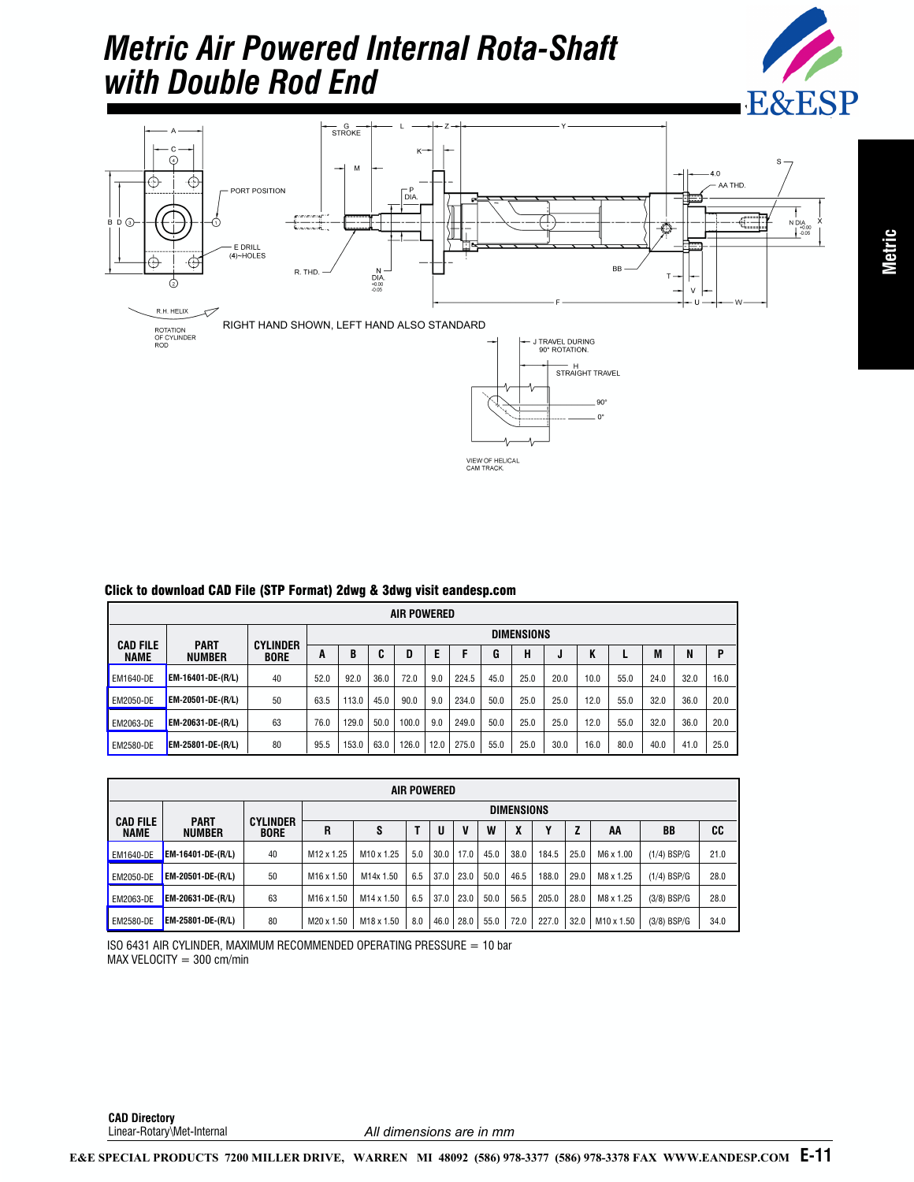## *Metric Air Powered Internal Rota-Shaft with Double Rod End*





VIEW OF HELICAL<br>CAM TRACK.

 $90^{\circ}$  $0<sup>°</sup>$ 

|                                | UNUR IV UUWINUGU UMD TIIG (UTT TUNNGI) LUWY OL UUWY VISIL GANUGSPIGUNI |                                |                   |       |      |       |      |       |      |      |      |      |      |      |      |      |  |
|--------------------------------|------------------------------------------------------------------------|--------------------------------|-------------------|-------|------|-------|------|-------|------|------|------|------|------|------|------|------|--|
|                                | AIR POWERED                                                            |                                |                   |       |      |       |      |       |      |      |      |      |      |      |      |      |  |
|                                |                                                                        |                                | <b>DIMENSIONS</b> |       |      |       |      |       |      |      |      |      |      |      |      |      |  |
| <b>CAD FILE</b><br><b>NAME</b> | <b>PART</b><br><b>NUMBER</b>                                           | <b>CYLINDER</b><br><b>BORE</b> | A                 | B     | C    | D     | Е    | F     | G    | н    | u    | K    |      | M    | N    | p    |  |
| EM1640-DE                      | EM-16401-DE-(R/L)                                                      | 40                             | 52.0              | 92.0  | 36.0 | 72.0  | 9.0  | 224.5 | 45.0 | 25.0 | 20.0 | 10.0 | 55.0 | 24.0 | 32.0 | 16.0 |  |
| <b>EM2050-DE</b>               | EM-20501-DE-(R/L)                                                      | 50                             | 63.5              | 113.0 | 45.0 | 90.0  | 9.0  | 234.0 | 50.0 | 25.0 | 25.0 | 12.0 | 55.0 | 32.0 | 36.0 | 20.0 |  |
| <b>EM2063-DE</b>               | EM-20631-DE-(R/L)                                                      | 63                             | 76.0              | 129.0 | 50.0 | 100.0 | 9.0  | 249.0 | 50.0 | 25.0 | 25.0 | 12.0 | 55.0 | 32.0 | 36.0 | 20.0 |  |
| <b>EM2580-DE</b>               | EM-25801-DE-(R/L)                                                      | 80                             | 95.5              | 153.0 | 63.0 | 126.0 | 12.0 | 275.0 | 55.0 | 25.0 | 30.0 | 16.0 | 80.0 | 40.0 | 41.0 | 25.0 |  |

### Click to download CAD File (STP Format) 2dwg & 3dwg visit eandesp.com

|                                |                              |                                |                        |                        |     | AIR POWERED |      |      |      |       |      |            |               |      |  |  |  |
|--------------------------------|------------------------------|--------------------------------|------------------------|------------------------|-----|-------------|------|------|------|-------|------|------------|---------------|------|--|--|--|
|                                |                              |                                | <b>DIMENSIONS</b>      |                        |     |             |      |      |      |       |      |            |               |      |  |  |  |
| <b>CAD FILE</b><br><b>NAME</b> | <b>PART</b><br><b>NUMBER</b> | <b>CYLINDER</b><br><b>BORE</b> | R                      | S                      |     | U           | V    | W    | X    | v     | Z    | AA         | BB            | CC   |  |  |  |
| <b>EM1640-DE</b>               | <b>EM-16401-DE-(R/L)</b>     | 40                             | M12 x 1.25             | M <sub>10</sub> x 1.25 | 5.0 | 30.0        | 17.0 | 45.0 | 38.0 | 184.5 | 25.0 | M6 x 1.00  | $(1/4)$ BSP/G | 21.0 |  |  |  |
| <b>EM2050-DE</b>               | <b>EM-20501-DE-(R/L)</b>     | 50                             | M <sub>16</sub> x 1.50 | M14x 1.50              | 6.5 | 37.0        | 23.0 | 50.0 | 46.5 | 188.0 | 29.0 | M8 x 1.25  | $(1/4)$ BSP/G | 28.0 |  |  |  |
| <b>EM2063-DE</b>               | EM-20631-DE-(R/L)            | 63                             | M <sub>16</sub> x 1.50 | M <sub>14</sub> x 1.50 | 6.5 | 37.0        | 23.0 | 50.0 | 56.5 | 205.0 | 28.0 | M8 x 1.25  | $(3/8)$ BSP/G | 28.0 |  |  |  |
| <b>EM2580-DE</b>               | <b>EM-25801-DE-(R/L)</b>     | 80                             | M20 x 1.50             | M18 x 1.50             | 8.0 | 46.0        | 28.0 | 55.0 | 72.0 | 227.0 | 32.0 | M10 x 1.50 | $(3/8)$ BSP/G | 34.0 |  |  |  |

ISO 6431 AIR CYLINDER, MAXIMUM RECOMMENDED OPERATING PRESSURE = 10 bar  $MAX$  VELOCITY = 300 cm/min

**CAD Directory** Linear-Rotary\Met-Internal

*All dimensions are in mm*

**E-11 [E&E SPECIAL PRODUCTS 7200 MILLER DRIVE, WARREN MI 48092 \(586\) 978-3377 \(586\) 978-3378 FAX WWW.EANDESP.COM](www.eandesp.com)**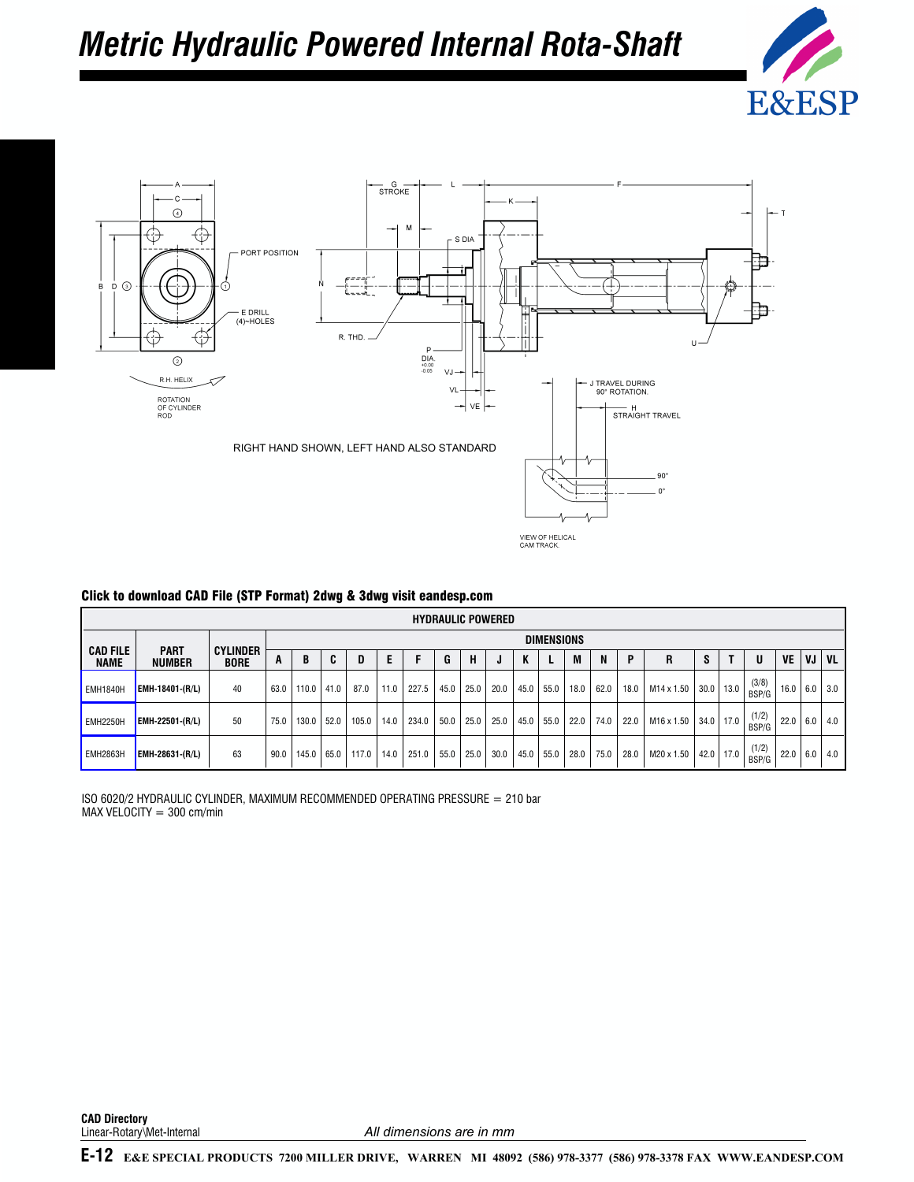# *Metric Hydraulic Powered Internal Rota-Shaft*





| Click to download CAD File (STP Format) 2dwg & 3dwg visit eandesp.com |
|-----------------------------------------------------------------------|
|                                                                       |

|                                |                              |                                |      |       |      |       |      |       |      |      | <b>HYDRAULIC POWERED</b> |      |                   |      |      |      |            |               |      |                |      |     |           |
|--------------------------------|------------------------------|--------------------------------|------|-------|------|-------|------|-------|------|------|--------------------------|------|-------------------|------|------|------|------------|---------------|------|----------------|------|-----|-----------|
|                                |                              |                                |      |       |      |       |      |       |      |      |                          |      | <b>DIMENSIONS</b> |      |      |      |            |               |      |                |      |     |           |
| <b>CAD FILE</b><br><b>NAME</b> | <b>PART</b><br><b>NUMBER</b> | <b>CYLINDER</b><br><b>BORE</b> | A    | B     | C    |       | E    |       | G    | н    |                          |      |                   | M    | N    | P    | R          | s             |      | U              | VE   | VJ  | <b>VL</b> |
| <b>EMH1840H</b>                | EMH-18401-(R/L)              | 40                             | 63.0 | 110.0 | 41.0 | 87.0  | 11.0 | 227.5 | 45.0 | 25.0 | 20.0                     | 45.0 | 55.0              | 18.0 | 62.0 | 18.0 | M14 x 1.50 | 30.0          | 13.0 | (3/8)<br>BSP/G | 16.0 | 6.0 | 3.0       |
| <b>EMH2250H</b>                | EMH-22501-(R/L)              | 50                             | 75.0 | 130.0 | 52.0 | 105.0 | 14.0 | 234.0 | 50.0 | 25.0 | 25.0                     | 45.0 | 55.0              | 22.0 | 74.0 | 22.0 | M16 x 1.50 | $34.0$   17.0 |      | (1/2)<br>BSP/G | 22.0 | 6.0 | 4.0       |
| EMH2863H                       | EMH-28631-(R/L)              | 63                             | 90.0 | 145.0 | 65.0 | 117.0 | 14.0 | 251.0 | 55.0 | 25.0 | 30.0                     | 45.0 | 55.0              | 28.0 | 75.0 | 28.0 | M20 x 1.50 | 42.0          | 17.0 | (1/2)<br>BSP/G | 22.0 | 6.0 | 4.0       |

ISO 6020/2 HYDRAULIC CYLINDER, MAXIMUM RECOMMENDED OPERATING PRESSURE = 210 bar  $MAX$  VELOCITY = 300 cm/min

**CAD Directory** Linear-Rotary\Met-Internal

*All dimensions are in mm*